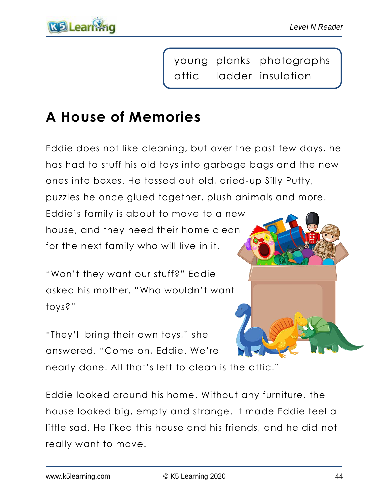

young planks photographs attic ladder insulation

## **A House of Memories**

Eddie does not like cleaning, but over the past few days, he has had to stuff his old toys into garbage bags and the new ones into boxes. He tossed out old, dried-up Silly Putty,

puzzles he once glued together, plush animals and more.

Eddie's family is about to move to a new house, and they need their home clean for the next family who will live in it.

"Won't they want our stuff?" Eddie asked his mother. "Who wouldn't want toys?"

"They'll bring their own toys," she answered. "Come on, Eddie. We're

nearly done. All that's left to clean is the attic."

Eddie looked around his home. Without any furniture, the house looked big, empty and strange. It made Eddie feel a little sad. He liked this house and his friends, and he did not really want to move.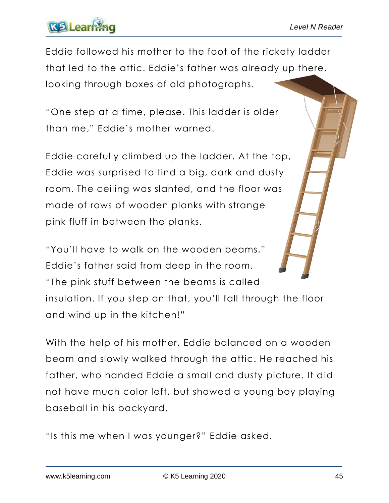## **KB** Learn

Eddie followed his mother to the foot of the rickety ladder that led to the attic. Eddie's father was already up there, looking through boxes of old photographs.

"One step at a time, please. This ladder is older than me," Eddie's mother warned.

Eddie carefully climbed up the ladder. At the top, Eddie was surprised to find a big, dark and dusty room. The ceiling was slanted, and the floor was made of rows of wooden planks with strange pink fluff in between the planks.

"You'll have to walk on the wooden beams," Eddie's father said from deep in the room. "The pink stuff between the beams is called insulation. If you step on that, you'll fall through the floor and wind up in the kitchen!"

With the help of his mother, Eddie balanced on a wooden beam and slowly walked through the attic. He reached his father, who handed Eddie a small and dusty picture. It did not have much color left, but showed a young boy playing baseball in his backyard.

"Is this me when I was younger?" Eddie asked.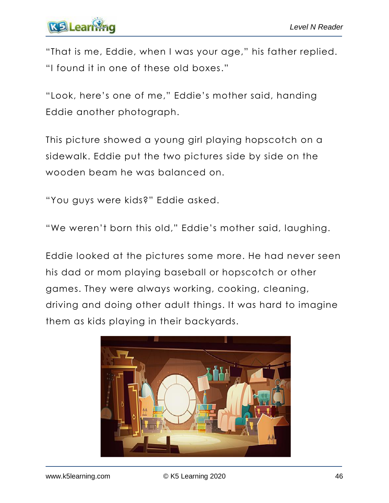# **KE** Learn

"That is me, Eddie, when I was your age," his father replied. "I found it in one of these old boxes."

"Look, here's one of me," Eddie's mother said, handing Eddie another photograph.

This picture showed a young girl playing hopscotch on a sidewalk. Eddie put the two pictures side by side on the wooden beam he was balanced on.

"You guys were kids?" Eddie asked.

"We weren't born this old," Eddie's mother said, laughing.

Eddie looked at the pictures some more. He had never seen his dad or mom playing baseball or hopscotch or other games. They were always working, cooking, cleaning, driving and doing other adult things. It was hard to imagine them as kids playing in their backyards.

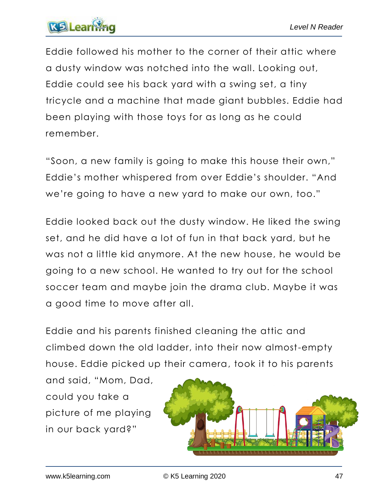

Eddie followed his mother to the corner of their attic where a dusty window was notched into the wall. Looking out, Eddie could see his back yard with a swing set, a tiny tricycle and a machine that made giant bubbles. Eddie had been playing with those toys for as long as he could remember.

"Soon, a new family is going to make this house their own," Eddie's mother whispered from over Eddie's shoulder. "And we're going to have a new yard to make our own, too."

Eddie looked back out the dusty window. He liked the swing set, and he did have a lot of fun in that back yard, but he was not a little kid anymore. At the new house, he would be going to a new school. He wanted to try out for the school soccer team and maybe join the drama club. Maybe it was a good time to move after all.

Eddie and his parents finished cleaning the attic and climbed down the old ladder, into their now almost-empty house. Eddie picked up their camera, took it to his parents

and said, "Mom, Dad, could you take a picture of me playing in our back yard?"

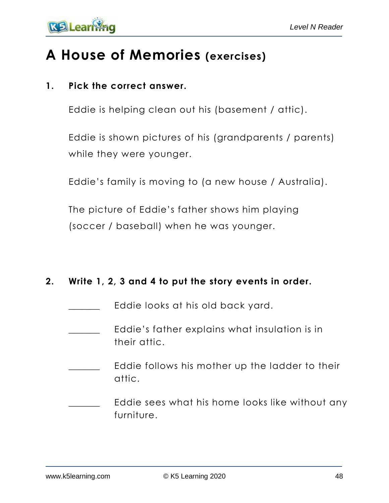

### **A House of Memories (exercises)**

#### **1. Pick the correct answer.**

Eddie is helping clean out his (basement / attic).

Eddie is shown pictures of his (grandparents / parents) while they were younger.

Eddie's family is moving to (a new house / Australia).

The picture of Eddie's father shows him playing (soccer / baseball) when he was younger.

#### **2. Write 1, 2, 3 and 4 to put the story events in order.**

- Eddie looks at his old back yard.
- Eddie's father explains what insulation is in their attic.
- Eddie follows his mother up the ladder to their attic.
- Eddie sees what his home looks like without any furniture.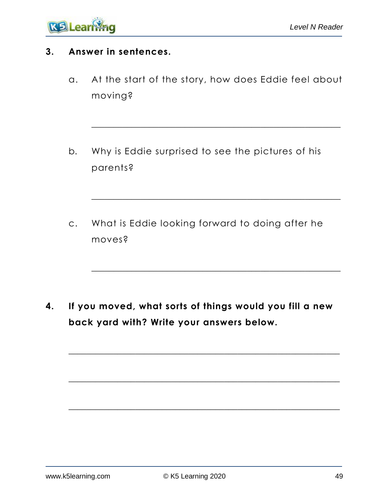

#### **3. Answer in sentences.**

a. At the start of the story, how does Eddie feel about moving?

\_\_\_\_\_\_\_\_\_\_\_\_\_\_\_\_\_\_\_\_\_\_\_\_\_\_\_\_\_\_\_\_\_\_\_\_\_\_\_\_\_\_\_\_\_\_\_\_\_\_\_\_\_\_\_\_

\_\_\_\_\_\_\_\_\_\_\_\_\_\_\_\_\_\_\_\_\_\_\_\_\_\_\_\_\_\_\_\_\_\_\_\_\_\_\_\_\_\_\_\_\_\_\_\_\_\_\_\_\_\_\_\_

\_\_\_\_\_\_\_\_\_\_\_\_\_\_\_\_\_\_\_\_\_\_\_\_\_\_\_\_\_\_\_\_\_\_\_\_\_\_\_\_\_\_\_\_\_\_\_\_\_\_\_\_\_\_\_\_

- b. Why is Eddie surprised to see the pictures of his parents?
- c. What is Eddie looking forward to doing after he moves?

**4. If you moved, what sorts of things would you fill a new back yard with? Write your answers below.**

\_\_\_\_\_\_\_\_\_\_\_\_\_\_\_\_\_\_\_\_\_\_\_\_\_\_\_\_\_\_\_\_\_\_\_\_\_\_\_\_\_\_\_\_\_\_\_\_\_\_\_\_\_\_\_\_\_\_\_\_\_

\_\_\_\_\_\_\_\_\_\_\_\_\_\_\_\_\_\_\_\_\_\_\_\_\_\_\_\_\_\_\_\_\_\_\_\_\_\_\_\_\_\_\_\_\_\_\_\_\_\_\_\_\_\_\_\_\_\_\_\_\_

\_\_\_\_\_\_\_\_\_\_\_\_\_\_\_\_\_\_\_\_\_\_\_\_\_\_\_\_\_\_\_\_\_\_\_\_\_\_\_\_\_\_\_\_\_\_\_\_\_\_\_\_\_\_\_\_\_\_\_\_\_